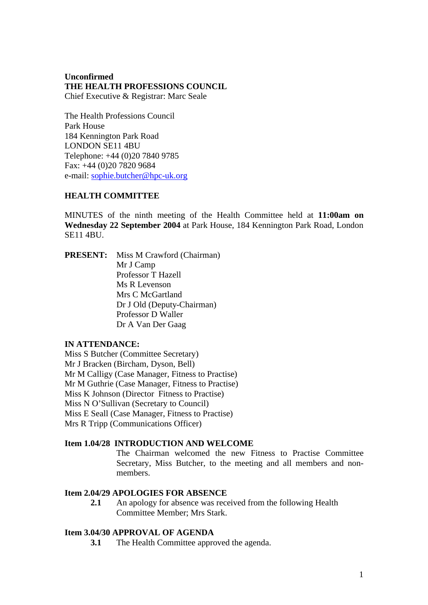## **Unconfirmed THE HEALTH PROFESSIONS COUNCIL** Chief Executive & Registrar: Marc Seale

The Health Professions Council Park House 184 Kennington Park Road LONDON SE11 4BU Telephone: +44 (0)20 7840 9785 Fax: +44 (0)20 7820 9684 e-mail: sophie.butcher@hpc-uk.org

# **HEALTH COMMITTEE**

MINUTES of the ninth meeting of the Health Committee held at **11:00am on Wednesday 22 September 2004** at Park House, 184 Kennington Park Road, London SE11 4BU.

**PRESENT:** Miss M Crawford (Chairman) Mr J Camp Professor T Hazell Ms R Levenson Mrs C McGartland Dr J Old (Deputy-Chairman) Professor D Waller Dr A Van Der Gaag

#### **IN ATTENDANCE:**

Miss S Butcher (Committee Secretary) Mr J Bracken (Bircham, Dyson, Bell) Mr M Calligy (Case Manager, Fitness to Practise) Mr M Guthrie (Case Manager, Fitness to Practise) Miss K Johnson (Director Fitness to Practise) Miss N O'Sullivan (Secretary to Council) Miss E Seall (Case Manager, Fitness to Practise) Mrs R Tripp (Communications Officer)

# **Item 1.04/28 INTRODUCTION AND WELCOME**

The Chairman welcomed the new Fitness to Practise Committee Secretary, Miss Butcher, to the meeting and all members and nonmembers.

# **Item 2.04/29 APOLOGIES FOR ABSENCE**

**2.1** An apology for absence was received from the following Health Committee Member; Mrs Stark.

#### **Item 3.04/30 APPROVAL OF AGENDA**

**3.1** The Health Committee approved the agenda.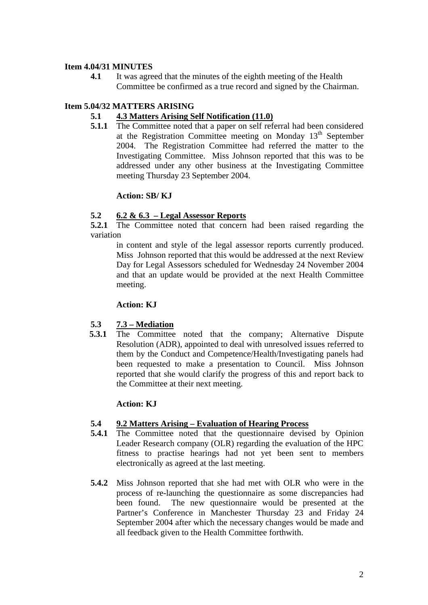## **Item 4.04/31 MINUTES**

**4.1** It was agreed that the minutes of the eighth meeting of the Health Committee be confirmed as a true record and signed by the Chairman.

# **Item 5.04/32 MATTERS ARISING**

# **5.1 4.3 Matters Arising Self Notification (11.0)**

**5.1.1** The Committee noted that a paper on self referral had been considered at the Registration Committee meeting on Monday 13th September 2004. The Registration Committee had referred the matter to the Investigating Committee. Miss Johnson reported that this was to be addressed under any other business at the Investigating Committee meeting Thursday 23 September 2004.

## **Action: SB/ KJ**

# **5.2 6.2 & 6.3 – Legal Assessor Reports**

**5.2.1** The Committee noted that concern had been raised regarding the variation

in content and style of the legal assessor reports currently produced. Miss Johnson reported that this would be addressed at the next Review Day for Legal Assessors scheduled for Wednesday 24 November 2004 and that an update would be provided at the next Health Committee meeting.

#### **Action: KJ**

# **5.3 7.3 – Mediation**

**5.3.1** The Committee noted that the company; Alternative Dispute Resolution (ADR), appointed to deal with unresolved issues referred to them by the Conduct and Competence/Health/Investigating panels had been requested to make a presentation to Council. Miss Johnson reported that she would clarify the progress of this and report back to the Committee at their next meeting.

#### **Action: KJ**

#### **5.4 9.2 Matters Arising – Evaluation of Hearing Process**

- **5.4.1** The Committee noted that the questionnaire devised by Opinion Leader Research company (OLR) regarding the evaluation of the HPC fitness to practise hearings had not yet been sent to members electronically as agreed at the last meeting.
- **5.4.2** Miss Johnson reported that she had met with OLR who were in the process of re-launching the questionnaire as some discrepancies had been found. The new questionnaire would be presented at the Partner's Conference in Manchester Thursday 23 and Friday 24 September 2004 after which the necessary changes would be made and all feedback given to the Health Committee forthwith.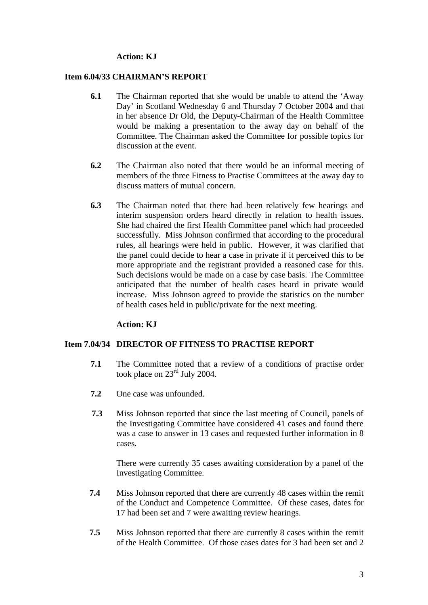#### **Action: KJ**

#### **Item 6.04/33 CHAIRMAN'S REPORT**

- **6.1** The Chairman reported that she would be unable to attend the 'Away Day' in Scotland Wednesday 6 and Thursday 7 October 2004 and that in her absence Dr Old, the Deputy-Chairman of the Health Committee would be making a presentation to the away day on behalf of the Committee. The Chairman asked the Committee for possible topics for discussion at the event.
- **6.2** The Chairman also noted that there would be an informal meeting of members of the three Fitness to Practise Committees at the away day to discuss matters of mutual concern.
- **6.3** The Chairman noted that there had been relatively few hearings and interim suspension orders heard directly in relation to health issues. She had chaired the first Health Committee panel which had proceeded successfully. Miss Johnson confirmed that according to the procedural rules, all hearings were held in public. However, it was clarified that the panel could decide to hear a case in private if it perceived this to be more appropriate and the registrant provided a reasoned case for this. Such decisions would be made on a case by case basis. The Committee anticipated that the number of health cases heard in private would increase. Miss Johnson agreed to provide the statistics on the number of health cases held in public/private for the next meeting.

#### **Action: KJ**

#### **Item 7.04/34 DIRECTOR OF FITNESS TO PRACTISE REPORT**

- **7.1** The Committee noted that a review of a conditions of practise order took place on 23<sup>rd</sup> July 2004.
- **7.2** One case was unfounded.
- **7.3** Miss Johnson reported that since the last meeting of Council, panels of the Investigating Committee have considered 41 cases and found there was a case to answer in 13 cases and requested further information in 8 cases.

There were currently 35 cases awaiting consideration by a panel of the Investigating Committee.

- **7.4** Miss Johnson reported that there are currently 48 cases within the remit of the Conduct and Competence Committee. Of these cases, dates for 17 had been set and 7 were awaiting review hearings.
- **7.5** Miss Johnson reported that there are currently 8 cases within the remit of the Health Committee. Of those cases dates for 3 had been set and 2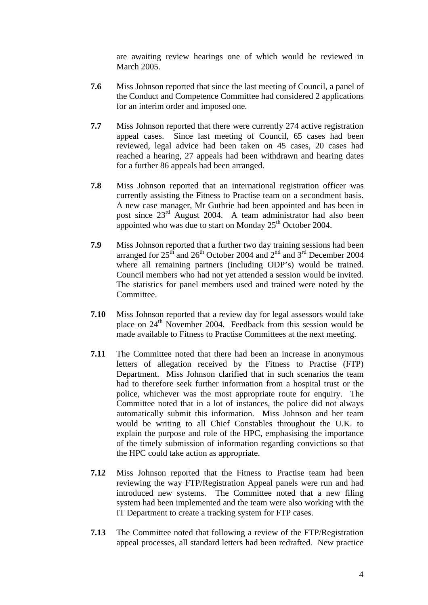are awaiting review hearings one of which would be reviewed in March 2005.

- **7.6** Miss Johnson reported that since the last meeting of Council, a panel of the Conduct and Competence Committee had considered 2 applications for an interim order and imposed one.
- **7.7** Miss Johnson reported that there were currently 274 active registration appeal cases. Since last meeting of Council, 65 cases had been reviewed, legal advice had been taken on 45 cases, 20 cases had reached a hearing, 27 appeals had been withdrawn and hearing dates for a further 86 appeals had been arranged.
- **7.8** Miss Johnson reported that an international registration officer was currently assisting the Fitness to Practise team on a secondment basis. A new case manager, Mr Guthrie had been appointed and has been in post since  $23<sup>rd</sup>$  August 2004. A team administrator had also been appointed who was due to start on Monday  $25<sup>th</sup>$  October 2004.
- **7.9** Miss Johnson reported that a further two day training sessions had been arranged for  $25<sup>th</sup>$  and  $26<sup>th</sup>$  October 2004 and  $2<sup>nd</sup>$  and  $3<sup>rd</sup>$  December 2004 where all remaining partners (including ODP's) would be trained. Council members who had not yet attended a session would be invited. The statistics for panel members used and trained were noted by the Committee.
- **7.10** Miss Johnson reported that a review day for legal assessors would take place on  $24<sup>th</sup>$  November 2004. Feedback from this session would be made available to Fitness to Practise Committees at the next meeting.
- **7.11** The Committee noted that there had been an increase in anonymous letters of allegation received by the Fitness to Practise (FTP) Department. Miss Johnson clarified that in such scenarios the team had to therefore seek further information from a hospital trust or the police, whichever was the most appropriate route for enquiry. The Committee noted that in a lot of instances, the police did not always automatically submit this information. Miss Johnson and her team would be writing to all Chief Constables throughout the U.K. to explain the purpose and role of the HPC, emphasising the importance of the timely submission of information regarding convictions so that the HPC could take action as appropriate.
- **7.12** Miss Johnson reported that the Fitness to Practise team had been reviewing the way FTP/Registration Appeal panels were run and had introduced new systems. The Committee noted that a new filing system had been implemented and the team were also working with the IT Department to create a tracking system for FTP cases.
- **7.13** The Committee noted that following a review of the FTP/Registration appeal processes, all standard letters had been redrafted. New practice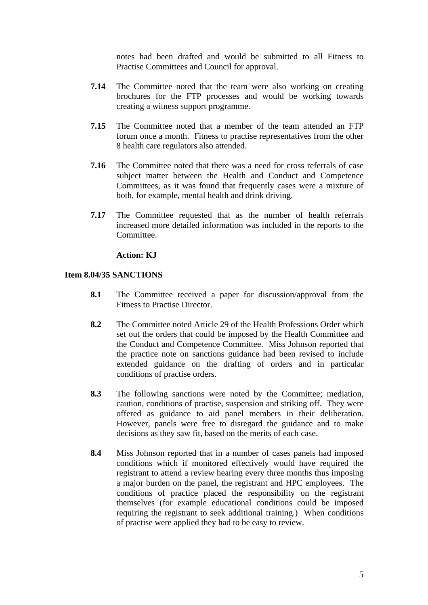notes had been drafted and would be submitted to all Fitness to Practise Committees and Council for approval.

- **7.14** The Committee noted that the team were also working on creating brochures for the FTP processes and would be working towards creating a witness support programme.
- **7.15** The Committee noted that a member of the team attended an FTP forum once a month. Fitness to practise representatives from the other 8 health care regulators also attended.
- **7.16** The Committee noted that there was a need for cross referrals of case subject matter between the Health and Conduct and Competence Committees, as it was found that frequently cases were a mixture of both, for example, mental health and drink driving.
- **7.17** The Committee requested that as the number of health referrals increased more detailed information was included in the reports to the Committee.

## **Action: KJ**

#### **Item 8.04/35 SANCTIONS**

- **8.1** The Committee received a paper for discussion/approval from the Fitness to Practise Director.
- **8.2** The Committee noted Article 29 of the Health Professions Order which set out the orders that could be imposed by the Health Committee and the Conduct and Competence Committee. Miss Johnson reported that the practice note on sanctions guidance had been revised to include extended guidance on the drafting of orders and in particular conditions of practise orders.
- **8.3** The following sanctions were noted by the Committee; mediation, caution, conditions of practise, suspension and striking off. They were offered as guidance to aid panel members in their deliberation. However, panels were free to disregard the guidance and to make decisions as they saw fit, based on the merits of each case.
- **8.4** Miss Johnson reported that in a number of cases panels had imposed conditions which if monitored effectively would have required the registrant to attend a review hearing every three months thus imposing a major burden on the panel, the registrant and HPC employees. The conditions of practice placed the responsibility on the registrant themselves (for example educational conditions could be imposed requiring the registrant to seek additional training.) When conditions of practise were applied they had to be easy to review.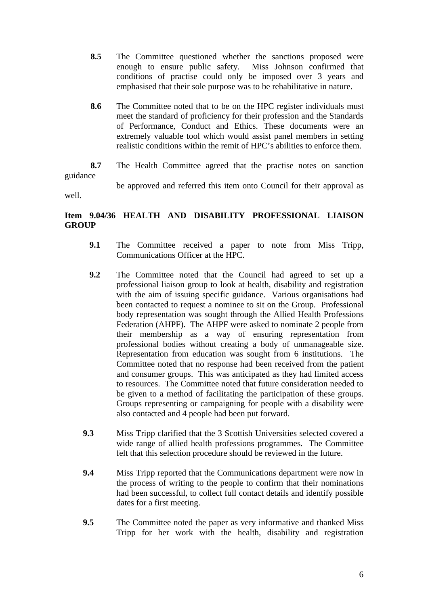- **8.5** The Committee questioned whether the sanctions proposed were enough to ensure public safety. Miss Johnson confirmed that conditions of practise could only be imposed over 3 years and emphasised that their sole purpose was to be rehabilitative in nature.
- **8.6** The Committee noted that to be on the HPC register individuals must meet the standard of proficiency for their profession and the Standards of Performance, Conduct and Ethics. These documents were an extremely valuable tool which would assist panel members in setting realistic conditions within the remit of HPC's abilities to enforce them.
- **8.7** The Health Committee agreed that the practise notes on sanction guidance be approved and referred this item onto Council for their approval as

well.

# **Item 9.04/36 HEALTH AND DISABILITY PROFESSIONAL LIAISON GROUP**

- **9.1** The Committee received a paper to note from Miss Tripp, Communications Officer at the HPC.
- **9.2** The Committee noted that the Council had agreed to set up a professional liaison group to look at health, disability and registration with the aim of issuing specific guidance. Various organisations had been contacted to request a nominee to sit on the Group. Professional body representation was sought through the Allied Health Professions Federation (AHPF). The AHPF were asked to nominate 2 people from their membership as a way of ensuring representation from professional bodies without creating a body of unmanageable size. Representation from education was sought from 6 institutions. The Committee noted that no response had been received from the patient and consumer groups. This was anticipated as they had limited access to resources. The Committee noted that future consideration needed to be given to a method of facilitating the participation of these groups. Groups representing or campaigning for people with a disability were also contacted and 4 people had been put forward.
- **9.3** Miss Tripp clarified that the 3 Scottish Universities selected covered a wide range of allied health professions programmes. The Committee felt that this selection procedure should be reviewed in the future.
- **9.4** Miss Tripp reported that the Communications department were now in the process of writing to the people to confirm that their nominations had been successful, to collect full contact details and identify possible dates for a first meeting.
- **9.5** The Committee noted the paper as very informative and thanked Miss Tripp for her work with the health, disability and registration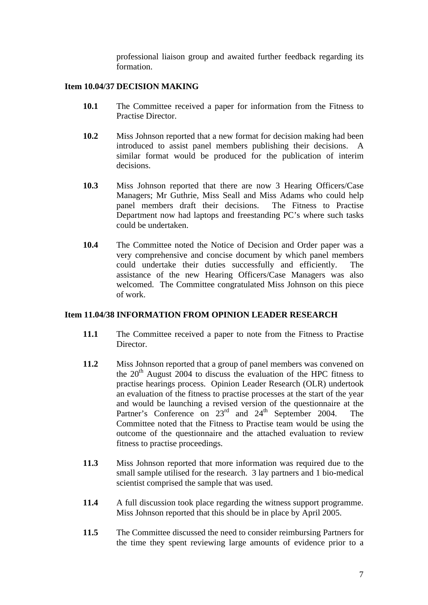professional liaison group and awaited further feedback regarding its formation.

## **Item 10.04/37 DECISION MAKING**

- **10.1** The Committee received a paper for information from the Fitness to Practise Director.
- **10.2** Miss Johnson reported that a new format for decision making had been introduced to assist panel members publishing their decisions. A similar format would be produced for the publication of interim decisions.
- **10.3** Miss Johnson reported that there are now 3 Hearing Officers/Case Managers; Mr Guthrie, Miss Seall and Miss Adams who could help panel members draft their decisions. The Fitness to Practise Department now had laptops and freestanding PC's where such tasks could be undertaken.
- **10.4** The Committee noted the Notice of Decision and Order paper was a very comprehensive and concise document by which panel members could undertake their duties successfully and efficiently. The assistance of the new Hearing Officers/Case Managers was also welcomed. The Committee congratulated Miss Johnson on this piece of work.

#### **Item 11.04/38 INFORMATION FROM OPINION LEADER RESEARCH**

- **11.1** The Committee received a paper to note from the Fitness to Practise Director.
- **11.2** Miss Johnson reported that a group of panel members was convened on the  $20<sup>th</sup>$  August 2004 to discuss the evaluation of the HPC fitness to practise hearings process. Opinion Leader Research (OLR) undertook an evaluation of the fitness to practise processes at the start of the year and would be launching a revised version of the questionnaire at the Partner's Conference on  $23^{\text{rd}}$  and  $24^{\text{th}}$  September 2004. The Committee noted that the Fitness to Practise team would be using the outcome of the questionnaire and the attached evaluation to review fitness to practise proceedings.
- **11.3** Miss Johnson reported that more information was required due to the small sample utilised for the research. 3 lay partners and 1 bio-medical scientist comprised the sample that was used.
- **11.4** A full discussion took place regarding the witness support programme. Miss Johnson reported that this should be in place by April 2005.
- **11.5** The Committee discussed the need to consider reimbursing Partners for the time they spent reviewing large amounts of evidence prior to a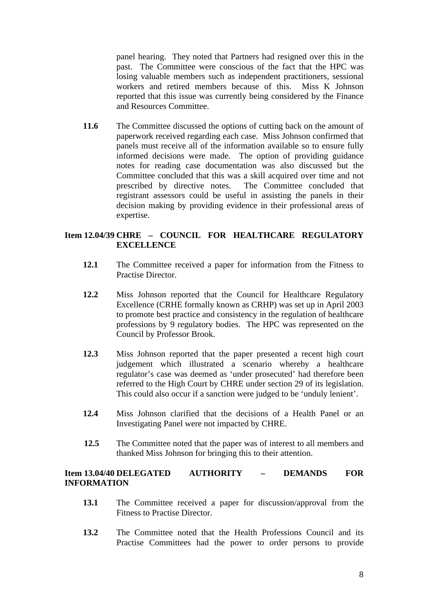panel hearing. They noted that Partners had resigned over this in the past. The Committee were conscious of the fact that the HPC was losing valuable members such as independent practitioners, sessional workers and retired members because of this. Miss K Johnson reported that this issue was currently being considered by the Finance and Resources Committee.

11.6 The Committee discussed the options of cutting back on the amount of paperwork received regarding each case. Miss Johnson confirmed that panels must receive all of the information available so to ensure fully informed decisions were made. The option of providing guidance notes for reading case documentation was also discussed but the Committee concluded that this was a skill acquired over time and not prescribed by directive notes. The Committee concluded that registrant assessors could be useful in assisting the panels in their decision making by providing evidence in their professional areas of expertise.

# **Item 12.04/39 CHRE – COUNCIL FOR HEALTHCARE REGULATORY EXCELLENCE**

- **12.1** The Committee received a paper for information from the Fitness to Practise Director.
- **12.2** Miss Johnson reported that the Council for Healthcare Regulatory Excellence (CRHE formally known as CRHP) was set up in April 2003 to promote best practice and consistency in the regulation of healthcare professions by 9 regulatory bodies. The HPC was represented on the Council by Professor Brook.
- **12.3** Miss Johnson reported that the paper presented a recent high court judgement which illustrated a scenario whereby a healthcare regulator's case was deemed as 'under prosecuted' had therefore been referred to the High Court by CHRE under section 29 of its legislation. This could also occur if a sanction were judged to be 'unduly lenient'.
- **12.4** Miss Johnson clarified that the decisions of a Health Panel or an Investigating Panel were not impacted by CHRE.
- **12.5** The Committee noted that the paper was of interest to all members and thanked Miss Johnson for bringing this to their attention.

# **Item 13.04/40 DELEGATED AUTHORITY – DEMANDS FOR INFORMATION**

- **13.1** The Committee received a paper for discussion/approval from the Fitness to Practise Director.
- **13.2** The Committee noted that the Health Professions Council and its Practise Committees had the power to order persons to provide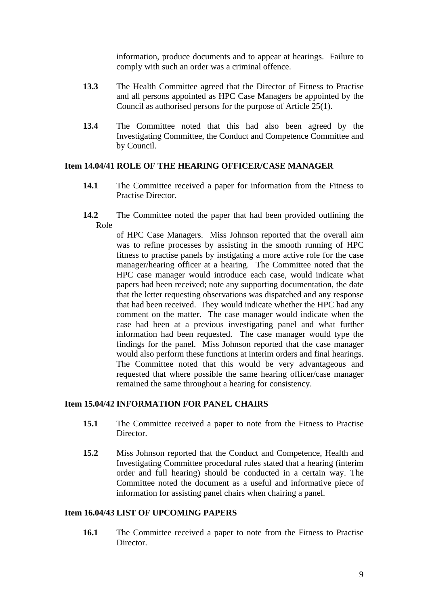information, produce documents and to appear at hearings. Failure to comply with such an order was a criminal offence.

- **13.3** The Health Committee agreed that the Director of Fitness to Practise and all persons appointed as HPC Case Managers be appointed by the Council as authorised persons for the purpose of Article 25(1).
- **13.4** The Committee noted that this had also been agreed by the Investigating Committee, the Conduct and Competence Committee and by Council.

#### **Item 14.04/41 ROLE OF THE HEARING OFFICER/CASE MANAGER**

- **14.1** The Committee received a paper for information from the Fitness to Practise Director.
- **14.2** The Committee noted the paper that had been provided outlining the Role

of HPC Case Managers. Miss Johnson reported that the overall aim was to refine processes by assisting in the smooth running of HPC fitness to practise panels by instigating a more active role for the case manager/hearing officer at a hearing. The Committee noted that the HPC case manager would introduce each case, would indicate what papers had been received; note any supporting documentation, the date that the letter requesting observations was dispatched and any response that had been received. They would indicate whether the HPC had any comment on the matter. The case manager would indicate when the case had been at a previous investigating panel and what further information had been requested. The case manager would type the findings for the panel. Miss Johnson reported that the case manager would also perform these functions at interim orders and final hearings. The Committee noted that this would be very advantageous and requested that where possible the same hearing officer/case manager remained the same throughout a hearing for consistency.

#### **Item 15.04/42 INFORMATION FOR PANEL CHAIRS**

- **15.1** The Committee received a paper to note from the Fitness to Practise Director.
- **15.2** Miss Johnson reported that the Conduct and Competence, Health and Investigating Committee procedural rules stated that a hearing (interim order and full hearing) should be conducted in a certain way. The Committee noted the document as a useful and informative piece of information for assisting panel chairs when chairing a panel.

#### **Item 16.04/43 LIST OF UPCOMING PAPERS**

**16.1** The Committee received a paper to note from the Fitness to Practise Director.